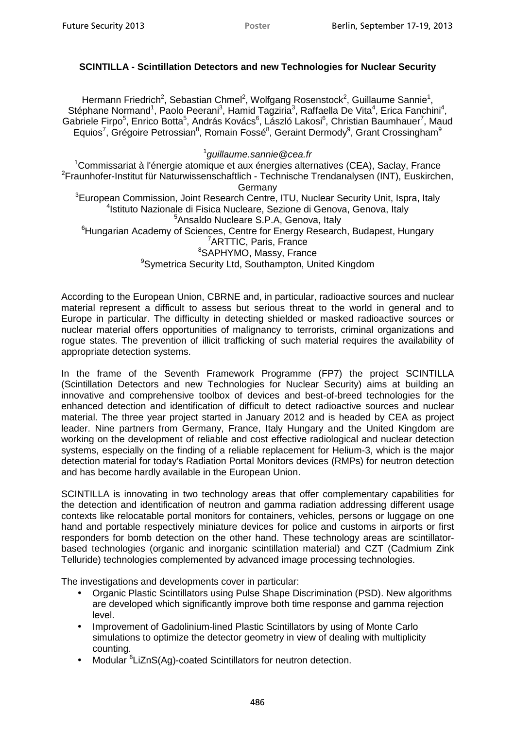## **SCINTILLA - Scintillation Detectors and new Technologies for Nuclear Security**

Hermann Friedrich<sup>2</sup>, Sebastian Chmel<sup>2</sup>, Wolfgang Rosenstock<sup>2</sup>, Guillaume Sannie<sup>1</sup>, Stéphane Normand<sup>1</sup>, Paolo Peerani<sup>3</sup>, Hamid Tagziria<sup>3</sup>, Raffaella De Vita<sup>4</sup>, Erica Fanchini<sup>4</sup>, Gabriele Firpo<sup>5</sup>, Enrico Botta<sup>5</sup>, András Kovács<sup>6</sup>, László Lakosi<sup>6</sup>, Christian Baumhauer<sup>7</sup>, Maud Equios<sup>7</sup>, Grégoire Petrossian<sup>8</sup>, Romain Fossé<sup>8</sup>, Geraint Dermody<sup>9</sup>, Grant Crossingham<sup>9</sup>

## 1 guillaume.sannie@cea.fr

<sup>1</sup>Commissariat à l'énergie atomique et aux énergies alternatives (CEA), Saclay, France <sup>2</sup>Fraunhofer-Institut für Naturwissenschaftlich - Technische Trendanalysen (INT), Euskirchen, Germany <sup>3</sup>European Commission, Joint Research Centre, ITU, Nuclear Security Unit, Ispra, Italy 4 Istituto Nazionale di Fisica Nucleare, Sezione di Genova, Genova, Italy <sup>5</sup>Ansaldo Nucleare S.P.A, Genova, Italy <sup>6</sup>Hungarian Academy of Sciences, Centre for Energy Research, Budapest, Hungary <sup>7</sup>ARTTIC, Paris, France <sup>8</sup>SAPHYMO, Massy, France <sup>9</sup>Symetrica Security Ltd, Southampton, United Kingdom Poster<br> **Ind ne**<br> **Container and the set of the set of the set of the set of the set of the set of the set of the set of the set of the set of the set of the set of the set of the set of the set of the set of the set of th** 

According to the European Union, CBRNE and, in particular, radioactive sources and nuclear material represent a difficult to assess but serious threat to the world in general and to Europe in particular. The difficulty in detecting shielded or masked radioactive sources or nuclear material offers opportunities of malignancy to terrorists, criminal organizations and rogue states. The prevention of illicit trafficking of such material requires the availability of appropriate detection systems.

In the frame of the Seventh Framework Programme (FP7) the project SCINTILLA (Scintillation Detectors and new Technologies for Nuclear Security) aims at building an innovative and comprehensive toolbox of devices and best-of-breed technologies for the enhanced detection and identification of difficult to detect radioactive sources and nuclear material. The three year project started in January 2012 and is headed by CEA as project leader. Nine partners from Germany, France, Italy Hungary and the United Kingdom are working on the development of reliable and cost effective radiological and nuclear detection systems, especially on the finding of a reliable replacement for Helium-3, which is the major detection material for today's Radiation Portal Monitors devices (RMPs) for neutron detection and has become hardly available in the European Union.

SCINTILLA is innovating in two technology areas that offer complementary capabilities for the detection and identification of neutron and gamma radiation addressing different usage contexts like relocatable portal monitors for containers, vehicles, persons or luggage on one hand and portable respectively miniature devices for police and customs in airports or first responders for bomb detection on the other hand. These technology areas are scintillatorbased technologies (organic and inorganic scintillation material) and CZT (Cadmium Zink Telluride) technologies complemented by advanced image processing technologies.

The investigations and developments cover in particular:

- Organic Plastic Scintillators using Pulse Shape Discrimination (PSD). New algorithms are developed which significantly improve both time response and gamma rejection level.
- Improvement of Gadolinium-lined Plastic Scintillators by using of Monte Carlo simulations to optimize the detector geometry in view of dealing with multiplicity counting.
- Modular <sup>6</sup> LiZnS(Ag)-coated Scintillators for neutron detection.